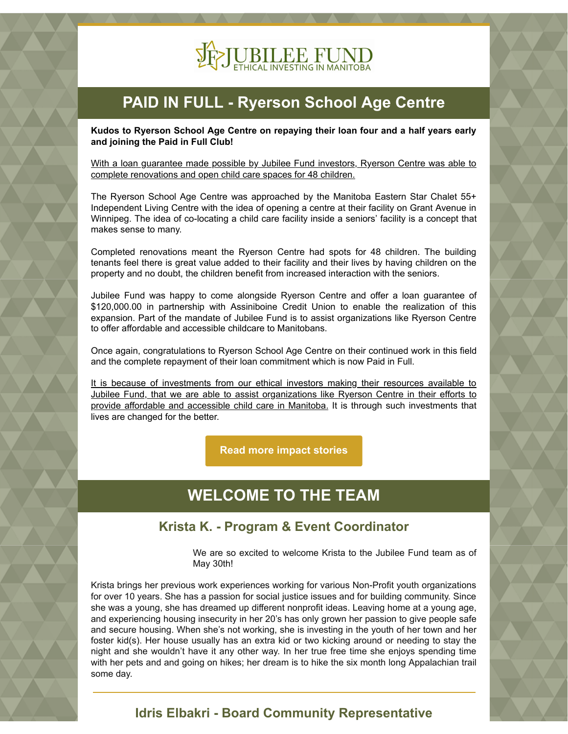

# **PAID IN FULL - Ryerson School Age Centre**

**Kudos to Ryerson School Age Centre on repaying their loan four and a half years early and joining the Paid in Full Club!**

With a loan guarantee made possible by Jubilee Fund investors, Ryerson Centre was able to complete renovations and open child care spaces for 48 children.

The Ryerson School Age Centre was approached by the Manitoba Eastern Star Chalet 55+ Independent Living Centre with the idea of opening a centre at their facility on Grant Avenue in Winnipeg. The idea of co-locating a child care facility inside a seniors' facility is a concept that makes sense to many.

Completed renovations meant the Ryerson Centre had spots for 48 children. The building tenants feel there is great value added to their facility and their lives by having children on the property and no doubt, the children benefit from increased interaction with the seniors.

Jubilee Fund was happy to come alongside Ryerson Centre and offer a loan guarantee of \$120,000.00 in partnership with Assiniboine Credit Union to enable the realization of this expansion. Part of the mandate of Jubilee Fund is to assist organizations like Ryerson Centre to offer affordable and accessible childcare to Manitobans.

Once again, congratulations to Ryerson School Age Centre on their continued work in this field and the complete repayment of their loan commitment which is now Paid in Full.

It is because of investments from our ethical investors making their resources available to Jubilee Fund, that we are able to assist organizations like Ryerson Centre in their efforts to provide affordable and accessible child care in Manitoba. It is through such investments that lives are changed for the better.

**[Read more impact stories](https://www.jubileefund.ca/impact-stories/)**

## **WELCOME TO THE TEAM**

#### **Krista K. - Program & Event Coordinator**

We are so excited to welcome Krista to the Jubilee Fund team as of May 30th!

Krista brings her previous work experiences working for various Non-Profit youth organizations for over 10 years. She has a passion for social justice issues and for building community. Since she was a young, she has dreamed up different nonprofit ideas. Leaving home at a young age, and experiencing housing insecurity in her 20's has only grown her passion to give people safe and secure housing. When she's not working, she is investing in the youth of her town and her foster kid(s). Her house usually has an extra kid or two kicking around or needing to stay the night and she wouldn't have it any other way. In her true free time she enjoys spending time with her pets and and going on hikes; her dream is to hike the six month long Appalachian trail some day.

### **Idris Elbakri - Board Community Representative**